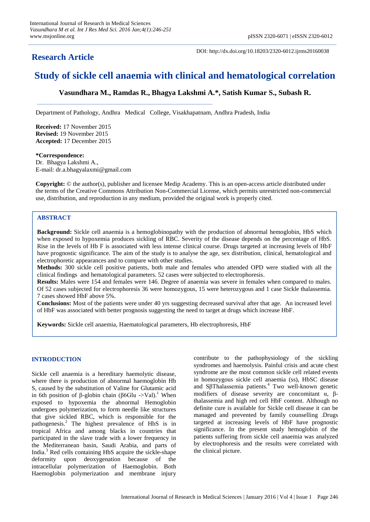## **Research Article**

DOI: http://dx.doi.org/10.18203/2320-6012.ijrms20160038

# **Study of sickle cell anaemia with clinical and hematological correlation**

**Vasundhara M., Ramdas R., Bhagya Lakshmi A.\*, Satish Kumar S., Subash R.**

Department of Pathology, Andhra Medical College, Visakhapatnam, Andhra Pradesh, India

**Received:** 17 November 2015 **Revised:** 19 November 2015 **Accepted:** 17 December 2015

### **\*Correspondence:** Dr. Bhagya Lakshmi A., E-mail: dr.a.bhagyalaxmi@gmail.com

**Copyright:** © the author(s), publisher and licensee Medip Academy. This is an open-access article distributed under the terms of the Creative Commons Attribution Non-Commercial License, which permits unrestricted non-commercial use, distribution, and reproduction in any medium, provided the original work is properly cited.

### **ABSTRACT**

**Background:** Sickle cell anaemia is a hemoglobinopathy with the production of abnormal hemoglobin, HbS which when exposed to hypoxemia produces sickling of RBC. Severity of the disease depends on the percentage of HbS. Rise in the levels of Hb F is associated with less intense clinical course. Drugs targeted at increasing levels of HbF have prognostic significance. The aim of the study is to analyse the age, sex distribution, clinical, hematological and electrophoretic appearances and to compare with other studies.

**Methods:** 300 sickle cell positive patients, both male and females who attended OPD were studied with all the clinical findings and hematological parameters. 52 cases were subjected to electrophoresis.

**Results:** Males were 154 and females were 146. Degree of anaemia was severe in females when compared to males. Of 52 cases subjected for electrophoresis 36 were homozygous, 15 were heterozygous and 1 case Sickle thalassemia. 7 cases showed HbF above 5%.

**Conclusions:** Most of the patients were under 40 yrs suggesting decreased survival after that age. An increased level of HbF was associated with better prognosis suggesting the need to target at drugs which increase HbF.

**Keywords:** Sickle cell anaemia, Haematological parameters, Hb electrophoresis, HbF

### **INTRODUCTION**

Sickle cell anaemia is a hereditary haemolytic disease, where there is production of abnormal haemoglobin Hb S, caused by the substitution of Valine for Glutamic acid in 6th position of β-globin chain (β6Glu ->Val).<sup>1</sup> When exposed to hypoxemia the abnormal Hemoglobin undergoes polymerization, to form needle like structures that give sickled RBC, which is responsible for the pathogenesis.<sup>2</sup> The highest prevalence of HbS is in tropical Africa and among blacks in countries that participated in the slave trade with a lower frequency in the Mediterranean basin, Saudi Arabia, and parts of India. $3$  Red cells containing HbS acquire the sickle-shape deformity upon deoxygenation because of the intracellular polymerization of Haemoglobin. Both Haemoglobin polymerization and membrane injury contribute to the pathophysiology of the sickling syndromes and haemolysis. Painful crisis and acute chest syndrome are the most common sickle cell related events in homozygous sickle cell anaemia (ss), HbSC disease and SβThalassemia patients.<sup>4</sup> Two well-known genetic modifiers of disease severity are concomitant  $\alpha$ ,  $\beta$ thalassemia and high red cell HbF content. Although no definite cure is available for Sickle cell disease it can be managed and prevented by family counselling .Drugs targeted at increasing levels of HbF have prognostic significance. In the present study hemoglobin of the patients suffering from sickle cell anaemia was analyzed by electrophoresis and the results were correlated with the clinical picture.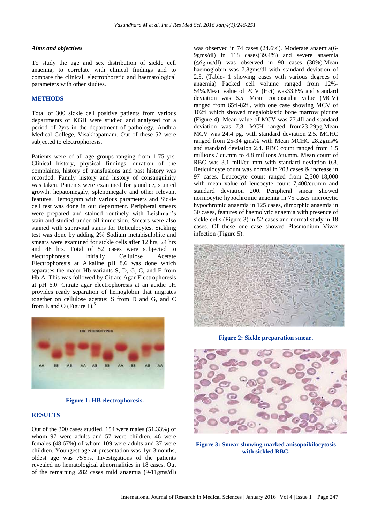#### *Aims and objectives*

To study the age and sex distribution of sickle cell anaemia, to correlate with clinical findings and to compare the clinical, electrophoretic and haematological parameters with other studies.

#### **METHODS**

Total of 300 sickle cell positive patients from various departments of KGH were studied and analyzed for a period of 2yrs in the department of pathology, Andhra Medical College, Visakhapatnam. Out of these 52 were subjected to electrophoresis.

Patients were of all age groups ranging from 1-75 yrs. Clinical history, physical findings, duration of the complaints, history of transfusions and past history was recorded. Family history and history of consanguinity was taken. Patients were examined for jaundice, stunted growth, hepatomegaly, splenomegaly and other relevant features. Hemogram with various parameters and Sickle cell test was done in our department. Peripheral smears were prepared and stained routinely with Leishman's stain and studied under oil immersion. Smears were also stained with supravital stains for Reticulocytes. Sickling test was done by adding 2% Sodium metabisulphite and smears were examined for sickle cells after 12 hrs, 24 hrs and 48 hrs. Total of 52 cases were subjected to electrophoresis. Initially Cellulose Acetate Electrophoresis at Alkaline pH 8.6 was done which separates the major Hb variants S, D, G, C, and E from Hb A. This was followed by Citrate Agar Electrophoresis at pH 6.0. Citrate agar electrophoresis at an acidic pH provides ready separation of hemoglobin that migrates together on cellulose acetate: S from D and G, and C from E and O (Figure 1).<sup>5</sup>



**Figure 1: HB electrophoresis.**

#### **RESULTS**

Out of the 300 cases studied, 154 were males (51.33%) of whom 97 were adults and 57 were children.146 were females (48.67%) of whom 109 were adults and 37 were children. Youngest age at presentation was 1yr 3months, oldest age was 75Yrs. Investigations of the patients revealed no hematological abnormalities in 18 cases. Out of the remaining 282 cases mild anaemia (9-11gms/dl) was observed in 74 cases (24.6%). Moderate anaemia(6- 9gms/dl) in 118 cases(39.4%) and severe anaemia (≤6gms/dl) was observed in 90 cases (30%).Mean haemoglobin was 7.8gms/dl with standard deviation of 2.5. (Table- 1 showing cases with various degrees of anaemia) Packed cell volume ranged from 12%- 54%.Mean value of PCV (Hct) was33.8% and standard deviation was 6.5. Mean corpuscular value (MCV) ranged from 65fl-82fl. with one case showing MCV of 102fl which showed megaloblastic bone marrow picture (Figure-4). Mean value of MCV was 77.4fl and standard deviation was 7.8. MCH ranged from23-29pg.Mean MCV was 24.4 pg. with standard deviation 2.5. MCHC ranged from 25-34 gms% with Mean MCHC 28.2gms% and standard deviation 2.4. RBC count ranged from 1.5 millions / cu.mm to 4.8 millions /cu.mm. Mean count of RBC was 3.1 mill/cu mm with standard deviation 0.8. Reticulocyte count was normal in 203 cases & increase in 97 cases. Leucocyte count ranged from 2,500-18,000 with mean value of leucocyte count 7,400/cu.mm and standard deviation 200. Peripheral smear showed normocytic hypochromic anaemia in 75 cases microcytic hypochromic anaemia in 125 cases, dimorphic anaemia in 30 cases, features of haemolytic anaemia with presence of sickle cells (Figure 3) in 52 cases and normal study in 18 cases. Of these one case showed Plasmodium Vivax infection (Figure 5).



**Figure 2: Sickle preparation smear.**



**Figure 3: Smear showing marked anisopoikilocytosis with sickled RBC.**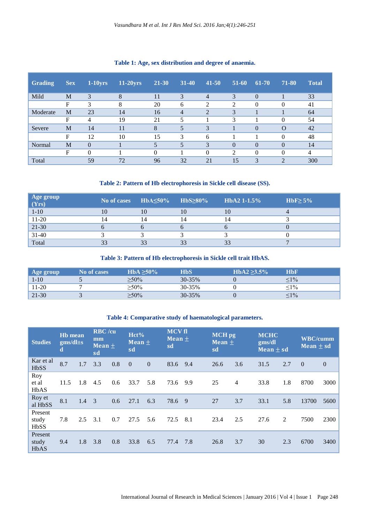| <b>Grading</b> | <b>Sex</b> | $1-10$ yrs | $11-20$ yrs | 21-30    | $31 - 40$      | $41 - 50$                   | $51-60$        | 61-70          | 71-80          | <b>Total</b> |
|----------------|------------|------------|-------------|----------|----------------|-----------------------------|----------------|----------------|----------------|--------------|
| Mild           | M          | 3          | 8           | 11       | 3              | $\overline{4}$              | 3              | $\theta$       |                | 33           |
|                | F          | 3          | 8           | 20       | 6              | ↑                           | $\overline{c}$ | 0              | $\Omega$       | 41           |
| Moderate       | M          | 23         | 14          | 16       | $\overline{4}$ | $\mathcal{D}_{\mathcal{L}}$ | 3              |                |                | 64           |
|                | F          | 4          | 19          | 21       | 5              |                             | 3              |                | $\Omega$       | 54           |
| Severe         | M          | 14         | 11          | 8        | 5              | 3                           |                | $\overline{0}$ | $\Omega$       | 42           |
|                | F          | 12         | 10          | 15       | 3              | 6                           |                |                | $\Omega$       | 48           |
| Normal         | M          | $\Omega$   |             | 5        | 5              | 3                           | $\Omega$       | $\theta$       | $\Omega$       | 14           |
|                | F          | $\Omega$   |             | $\Omega$ |                | $\theta$                    | $\mathfrak{D}$ | 0              | $\Omega$       | 4            |
| Total          |            | 59         | 72          | 96       | 32             | 21                          | 15             | 3              | $\overline{2}$ | 300          |

### **Table 1: Age, sex distribution and degree of anaemia.**

### **Table 2: Pattern of Hb electrophoresis in Sickle cell disease (SS).**

| $\begin{array}{c}\n \text{Age group} \\ \text{(Yrs)}\n \end{array}$ | No of cases | $HbA \leq 50\%$ | HbS <sub>280%</sub> | $HbA21-1.5%$   | HbF $\geq$ 5% |
|---------------------------------------------------------------------|-------------|-----------------|---------------------|----------------|---------------|
| $1 - 10$                                                            | 10          |                 |                     |                |               |
| $11-20$                                                             | 14          |                 |                     | $\overline{4}$ |               |
| $\overline{21-30}$                                                  |             |                 |                     |                |               |
| $31 - 40$                                                           |             |                 |                     |                |               |
| Total                                                               | 33          |                 | 33                  | 33             |               |

### **Table 3: Pattern of Hb electrophoresis in Sickle cell trait HbAS.**

| Age group | <b>No of cases</b> | $HbA \geq 50\%$ | HbS    | $HbA2 > 3.5\%$ | <b>HbF</b>    |
|-----------|--------------------|-----------------|--------|----------------|---------------|
| $1-10$    |                    | $>50\%$         | 30-35% |                | $\frac{1}{6}$ |
| $11-20$   |                    | $>50\%$         | 30-35% |                | $1\%$         |
| $ 21-30$  |                    | $\geq$ 50%      | 30-35% |                | $\leq 1\%$    |

### **Table 4: Comparative study of haematological parameters.**

| <b>Studies</b>                  | <b>Hb</b> mean<br>$gms/dl\pm s$<br>d |     | <b>RBC</b> /cu<br>mm<br>Mean $\pm$<br>sd |     | Hct%<br>$Mean +$<br>sd |          | <b>MCV</b> fl<br><b>Mean</b> $\pm$<br>sd |     | <b>MCH</b> pg<br>Mean $\pm$<br>sd |                | <b>MCHC</b><br>gms/dl<br>Mean $\pm$ sd |     | <b>WBC/cumm</b><br>Mean $\pm$ sd |                |
|---------------------------------|--------------------------------------|-----|------------------------------------------|-----|------------------------|----------|------------------------------------------|-----|-----------------------------------|----------------|----------------------------------------|-----|----------------------------------|----------------|
| Kar et al<br><b>HbSS</b>        | 8.7                                  | 1.7 | 3.3                                      | 0.8 | $\overline{0}$         | $\Omega$ | 83.6                                     | 9.4 | 26.6                              | 3.6            | 31.5                                   | 2.7 | $\Omega$                         | $\overline{0}$ |
| Roy<br>et al<br><b>HbAS</b>     | 11.5                                 | 1.8 | 4.5                                      | 0.6 | 33.7                   | 5.8      | 73.6                                     | 9.9 | 25                                | $\overline{4}$ | 33.8                                   | 1.8 | 8700                             | 3000           |
| Roy et<br>al HbSS               | 8.1                                  | 1.4 | $\mathcal{E}$                            | 0.6 | 27.1                   | 6.3      | 78.6                                     | -9  | 27                                | 3.7            | 33.1                                   | 5.8 | 13700                            | 5600           |
| Present<br>study<br><b>HbSS</b> | 7.8                                  | 2.5 | 3.1                                      | 0.7 | 27.5                   | 5.6      | 72.5                                     | 8.1 | 23.4                              | 2.5            | 27.6                                   | 2   | 7500                             | 2300           |
| Present<br>study<br><b>HbAS</b> | 9.4                                  | 1.8 | 3.8                                      | 0.8 | 33.8                   | 6.5      | 77.4                                     | 7.8 | 26.8                              | 3.7            | 30                                     | 2.3 | 6700                             | 3400           |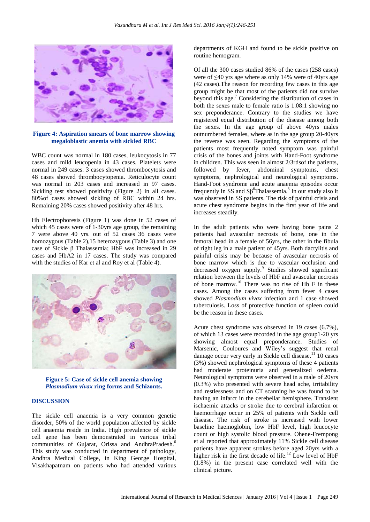

**Figure 4: Aspiration smears of bone marrow showing megaloblastic anemia with sickled RBC**

WBC count was normal in 180 cases, leukocytosis in 77 cases and mild leucopenia in 43 cases. Platelets were normal in 249 cases. 3 cases showed thrombocytosis and 48 cases showed thrombocytopenia. Reticulocyte count was normal in 203 cases and increased in 97 cases. Sickling test showed positivity (Figure 2) in all cases. 80%of cases showed sickling of RBC within 24 hrs. Remaining 20% cases showed positivity after 48 hrs.

Hb Electrophoresis (Figure 1) was done in 52 cases of which 45 cases were of 1-30yrs age group, the remaining 7 were above 40 yrs. out of 52 cases 36 cases were homozygous (Table 2),15 heterozygous (Table 3) and one case of Sickle β Thalassemia; HbF was increased in 29 cases and HbA2 in 17 cases. The study was compared with the studies of Kar et al and Roy et al (Table 4).



**Figure 5: Case of sickle cell anemia showing** *Plasmodium vivax* **ring forms and Schizonts.**

#### **DISCUSSION**

The sickle cell anaemia is a very common genetic disorder, 50% of the world population affected by sickle cell anaemia reside in India. High prevalence of sickle cell gene has been demonstrated in various tribal communities of Gujarat, Orissa and AndhraPradesh.<sup>6</sup> This study was conducted in department of pathology, Andhra Medical College, in King George Hospital, Visakhapatnam on patients who had attended various departments of KGH and found to be sickle positive on routine hemogram.

Of all the 300 cases studied 86% of the cases (258 cases) were of ≤40 yrs age where as only 14% were of 40yrs age (42 cases).The reason for recording few cases in this age group might be that most of the patients did not survive beyond this age. $7$  Considering the distribution of cases in both the sexes male to female ratio is 1.08:1 showing no sex preponderance. Contrary to the studies we have registered equal distribution of the disease among both the sexes. In the age group of above 40yrs males outnumbered females, where as in the age group 20-40yrs the reverse was seen. Regarding the symptoms of the patients most frequently noted symptom was painful crisis of the bones and joints with Hand-Foot syndrome in children. This was seen in almost 2/3rdsof the patients, followed by fever, abdominal symptoms, chest symptoms, nephrological and neurological symptoms. Hand-Foot syndrome and acute anaemia episodes occur frequently in SS and  $S\beta^0$ Thalassemia.<sup>8</sup> In our study also it was observed in SS patients. The risk of painful crisis and acute chest syndrome begins in the first year of life and increases steadily.

In the adult patients who were having bone pains 2 patients had avascular necrosis of bone, one in the femoral head in a female of 56yrs, the other in the fibula of right leg in a male patient of 45yrs. Both dactylitis and painful crisis may be because of avascular necrosis of bone marrow which is due to vascular occlusion and decreased oxygen supply.<sup>9</sup> Studies showed significant relation between the levels of HbF and avascular necrosis of bone marrow.<sup>10</sup> There was no rise of Hb F in these cases. Among the cases suffering from fever 4 cases showed *Plasmodium vivax* infection and 1 case showed tuberculosis. Loss of protective function of spleen could be the reason in these cases.

Acute chest syndrome was observed in 19 cases (6.7%), of which 13 cases were recorded in the age group1-20 yrs showing almost equal preponderance. Studies of Marsenic, Couloures and Wiley's suggest that renal damage occur very early in Sickle cell disease.<sup>11</sup> 10 cases (3%) showed nephrological symptoms of these 4 patients had moderate proteinuria and generalized oedema. Neurological symptoms were observed in a male of 20yrs (0.3%) who presented with severe head ache, irritability and restlessness and on CT scanning he was found to be having an infarct in the cerebellar hemisphere. Transient ischaemic attacks or stroke due to cerebral infarction or haemorrhage occur in 25% of patients with Sickle cell disease. The risk of stroke is increased with lower baseline haemoglobin, low HbF level, high leucocyte count or high systolic blood pressure. Ohene-Frempong et al reported that approximately 11% Sickle cell disease patients have apparent strokes before aged 20yrs with a higher risk in the first decade of life.<sup>12</sup> Low level of HbF (1.8%) in the present case correlated well with the clinical picture.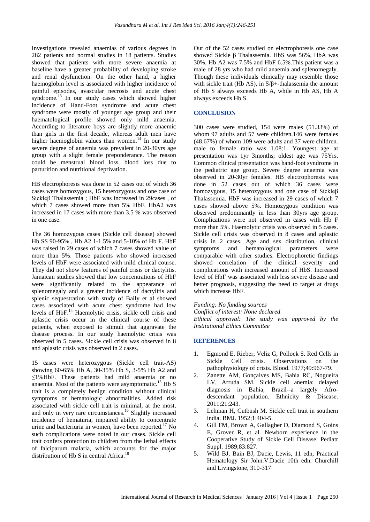Investigations revealed anaemias of various degrees in 282 patients and normal studies in 18 patients. Studies showed that patients with more severe anaemia at baseline have a greater probability of developing stroke and renal dysfunction. On the other hand, a higher haemoglobin level is associated with higher incidence of painful episodes, avascular necrosis and acute chest syndrome.<sup>13</sup> In our study cases which showed higher incidence of Hand-Foot syndrome and acute chest syndrome were mostly of younger age group and their haematological profile showed only mild anaemia. According to literature boys are slightly more anaemic than girls in the first decade, whereas adult men have higher haemoglobin values than women.<sup>14</sup> In our study severe degree of anaemia was prevalent in 20-30yrs age group with a slight female preponderance. The reason could be menstrual blood loss, blood loss due to parturition and nutritional deprivation.

HB electrophoresis was done in 52 cases out of which 36 cases were homozygous, 15 heterozygous and one case of Sickleβ Thalassemia ; HbF was increased in 29cases , of which 7 cases showed more than 5% HbF. HbA2 was increased in 17 cases with more than 3.5 % was observed in one case.

The 36 homozygous cases (Sickle cell disease) showed Hb SS 90-95% , Hb A2 1-1.5% and 5-10% of Hb F. HbF was raised in 29 cases of which 7 cases showed value of more than 5%. Those patients who showed increased levels of HbF were associated with mild clinical course. They did not show features of painful crisis or dactylitis. Jamaican studies showed that low concentrations of HbF were significantly related to the appearance of splenomegaly and a greater incidence of dactylitis and splenic sequestration with study of Baily et al showed cases associated with acute chest syndrome had low levels of HbF.<sup>14</sup> Haemolytic crisis, sickle cell crisis and aplastic crisis occur in the clinical course of these patients, when exposed to stimuli that aggravate the disease process. In our study haemolytic crisis was observed in 5 cases. Sickle cell crisis was observed in 8 and aplastic crisis was observed in 2 cases.

15 cases were heterozygous (Sickle cell trait-AS) showing 60-65% Hb A, 30-35% Hb S, 3-5% Hb A2 and ≤1%HbF. These patients had mild anaemia or no anaemia. Most of the patients were asymptomatic.<sup>15</sup> Hb S trait is a completely benign condition without clinical symptoms or hematologic abnormalities. Added risk associated with sickle cell trait is minimal, at the most, and only in very rare circumstances.<sup>16</sup> Slightly increased incidence of hematuria, impaired ability to concentrate urine and bacteriuria in women, have been reported.<sup>17</sup> No such complications were noted in our cases. Sickle cell trait confers protection to children from the lethal effects of falciparum malaria, which accounts for the major distribution of Hb S in central Africa. $18$ 

Out of the 52 cases studied on electrophoresis one case showed Sickle β Thalassemia. HbS was 56%, HbA was 30%, Hb A2 was 7.5% and HbF 6.5%.This patient was a male of 28 yrs who had mild anaemia and splenomegaly. Though these individuals clinically may resemble those with sickle trait (Hb AS), in S/β+-thalassemia the amount of Hb S always exceeds Hb A, while in Hb AS, Hb A always exceeds Hb S.

### **CONCLUSION**

300 cases were studied, 154 were males (51.33%) of whom 97 adults and 57 were children.146 were females (48.67%) of whom 109 were adults and 37 were children. male to female ratio was 1.08:1. Youngest age at presentation was 1yr 3months; oldest age was 75Yrs. Common clinical presentation was hand-foot syndrome in the pediatric age group. Severe degree anaemia was observed in 20-30yr females. HB electrophoresis was done in 52 cases out of which 36 cases were homozygous, 15 heterozygous and one case of Sickleβ Thalassemia. HbF was increased in 29 cases of which 7 cases showed above 5%. Homozygous condition was observed predominantly in less than 30yrs age group. Complications were not observed in cases with Hb F more than 5%. Haemolytic crisis was observed in 5 cases. Sickle cell crisis was observed in 8 cases and aplastic crisis in 2 cases. Age and sex distribution, clinical symptoms and hematological parameters were comparable with other studies. Electrophoretic findings showed correlation of the clinical severity and complications with increased amount of HbS. Increased level of HbF was associated with less severe disease and better prognosis, suggesting the need to target at drugs which increase HbF.

*Funding: No funding sources*

*Conflict of interest: None declared*

*Ethical approval: The study was approved by the Institutional Ethics Committee*

#### **REFERENCES**

- 1. Egmond E, Rieber, Veliz G, Pollock S. Red Cells in Sickle Cell crisis. Observations on the pathophysiology of crisis. Blood. 1977;49:967-79.
- 2. Zanette AM, Gonçalves MS, Bahia RC, Nogueira LV, Arruda SM. Sickle cell anemia: delayed diagnosis in Bahia, Brazil--a largely Afrodescendant population. Ethnicity & Disease. 2011;21:243.
- 3. Lehman H, Cutbush M. Sickle cell trait in southern india. BMJ. 1952;1:404-5.
- 4. Gill FM, Brown A, Gallagher D, Diamond S, Goins E, Grover R, et al. Newborn experience in the Cooperative Study of Sickle Cell Disease. Pediatr Suppl. 1989;83:827.
- 5. Wild BJ, Bain BJ, Dacie, Lewis, 11 edn, Practical Hematology Sir John.V.Dacie 10th edn. Churchill and Livingstone, 310-317